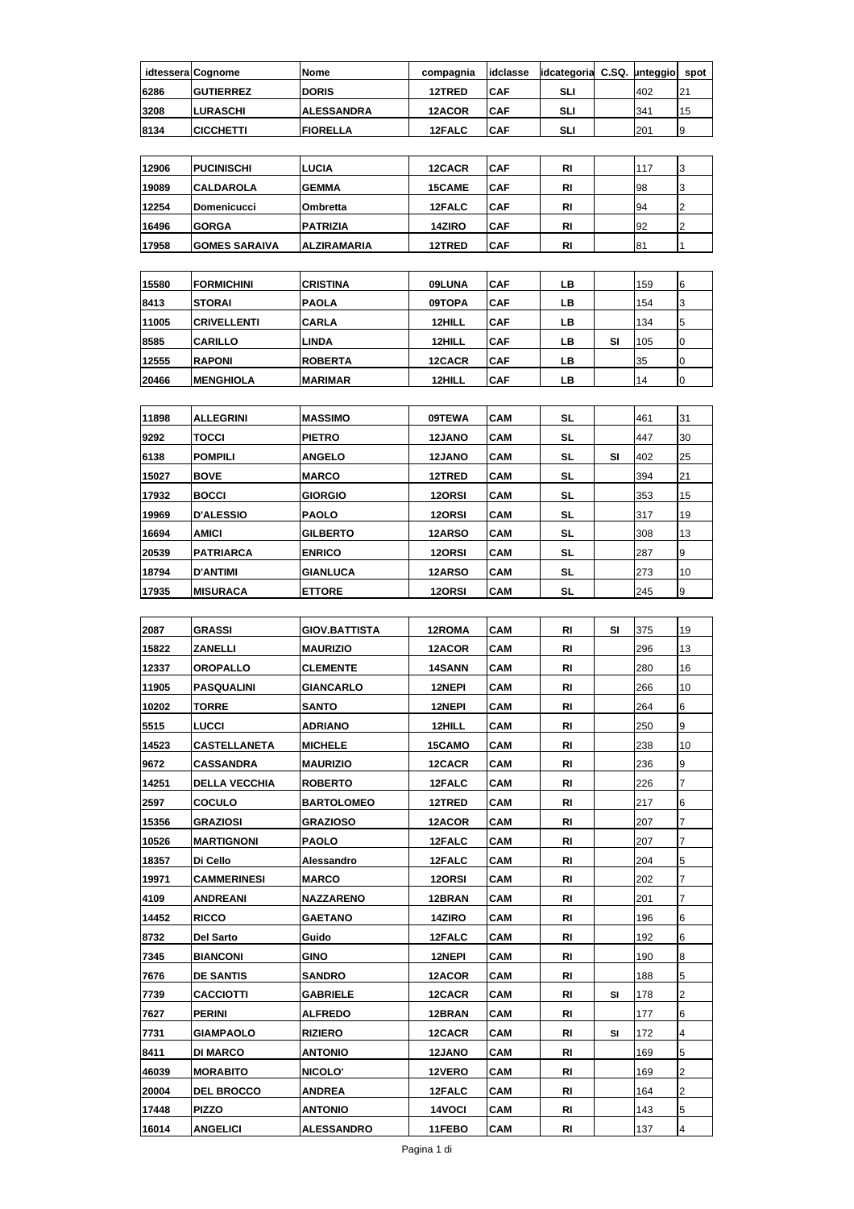|      | idtessera Cognome | Nome              | compagnia | idclasse    | lidcategoria C.SQ. | unteggio | spot |
|------|-------------------|-------------------|-----------|-------------|--------------------|----------|------|
| 6286 | <b>GUTIERREZ</b>  | <b>DORIS</b>      | 12TRED    | <b>CAF</b>  | SLI                | 402      | 121  |
| 3208 | <b>ILURASCHI</b>  | <b>ALESSANDRA</b> | 12ACOR    | <b>CAF</b>  | SLI                | 341      | 15   |
| 8134 | <b>CICCHETTI</b>  | <b>FIORELLA</b>   | 12FALC    | <b>ICAF</b> | SLI                | 201      | 19   |

| 12906 | <b>PUCINISCHI</b>     | <b>LUCIA</b>        | 12CACR        | <b>CAF</b> | RI | 117 |  |
|-------|-----------------------|---------------------|---------------|------------|----|-----|--|
| 19089 | <b>CALDAROLA</b>      | <b>GEMMA</b>        | <b>15CAME</b> | <b>CAF</b> | RI | 98  |  |
| 12254 | <b>IDomenicucci</b>   | <b>Ombretta</b>     | 12FALC        | <b>CAF</b> | RI | 94  |  |
| 16496 | <b>IGORGA</b>         | <b>PATRIZIA</b>     | 14ZIRO        | <b>CAF</b> | RI | 92  |  |
| 17958 | <b>IGOMES SARAIVA</b> | <b>IALZIRAMARIA</b> | 12TRED        | <b>CAF</b> | RI | 81  |  |

| 15580 | <b>FORMICHINI</b>  | <b>CRISTINA</b> | 09LUNA | <b>CAF</b> | LВ |    | 159 | 16 |
|-------|--------------------|-----------------|--------|------------|----|----|-----|----|
| 8413  | <b>STORAL</b>      | <b>PAOLA</b>    | 09TOPA | <b>CAF</b> | LВ |    | 154 | 13 |
| 11005 | <b>CRIVELLENTI</b> | <b>CARLA</b>    | 12HILL | <b>CAF</b> | LВ |    | 134 | 15 |
| 8585  | <b>CARILLO</b>     | LINDA           | 12HILL | <b>CAF</b> | LВ | SI | 105 | 10 |
| 12555 | <b>RAPONI</b>      | <b>ROBERTA</b>  | 12CACR | <b>CAF</b> | LВ |    | 35  |    |
| 20466 | <b>IMENGHIOLA</b>  | <b>MARIMAR</b>  | 12HILL | <b>CAF</b> | LВ |    | 14  | 10 |

| 11898 | <b>ALLEGRINI</b> | <b>MASSIMO</b>  | 09TEWA        | <b>CAM</b> | SL |    | 461 | 31 |
|-------|------------------|-----------------|---------------|------------|----|----|-----|----|
| 9292  | <b>TOCCI</b>     | <b>PIETRO</b>   | <b>12JANO</b> | <b>CAM</b> | SL |    | 447 | 30 |
| 6138  | <b>POMPILI</b>   | <b>ANGELO</b>   | <b>12JANO</b> | <b>CAM</b> | SL | SI | 402 | 25 |
| 15027 | <b>BOVE</b>      | <b>MARCO</b>    | 12TRED        | <b>CAM</b> | SL |    | 394 | 21 |
| 17932 | <b>BOCCI</b>     | <b>GIORGIO</b>  | 12ORSI        | <b>CAM</b> | SL |    | 353 | 15 |
| 19969 | <b>D'ALESSIO</b> | <b>PAOLO</b>    | 12ORSI        | <b>CAM</b> | SL |    | 317 | 19 |
| 16694 | <b>AMICI</b>     | <b>GILBERTO</b> | 12ARSO        | <b>CAM</b> | SL |    | 308 | 13 |
| 20539 | <b>PATRIARCA</b> | <b>ENRICO</b>   | 12ORSI        | <b>CAM</b> | SL |    | 287 | 9  |
| 18794 | <b>D'ANTIMI</b>  | <b>GIANLUCA</b> | 12ARSO        | <b>CAM</b> | SL |    | 273 | 10 |
| 17935 | <b>IMISURACA</b> | <b>ETTORE</b>   | 12ORSI        | <b>CAM</b> | SL |    | 245 | 9  |

| 2087  | GRASSI               | GIOV.BATTISTA     | 12ROMA        | CAM        | RI        | SI | 375 | 19             |
|-------|----------------------|-------------------|---------------|------------|-----------|----|-----|----------------|
| 15822 | <b>ZANELLI</b>       | <b>MAURIZIO</b>   | 12ACOR        | CAM        | RI        |    | 296 | 13             |
| 12337 | <b>OROPALLO</b>      | <b>CLEMENTE</b>   | 14SANN        | CAM        | RI        |    | 280 | 16             |
| 11905 | <b>PASQUALINI</b>    | <b>GIANCARLO</b>  | 12NEPI        | CAM        | RI        |    | 266 | 10             |
| 10202 | <b>TORRE</b>         | SANTO             | 12NEPI        | CAM        | RI        |    | 264 | 6              |
| 5515  | LUCCI                | <b>ADRIANO</b>    | 12HILL        | CAM        | RI        |    | 250 | 9              |
| 14523 | <b>CASTELLANETA</b>  | <b>MICHELE</b>    | <b>15CAMO</b> | CAM        | RI        |    | 238 | 10             |
| 9672  | CASSANDRA            | <b>MAURIZIO</b>   | 12CACR        | <b>CAM</b> | RI        |    | 236 | 9              |
| 14251 | <b>DELLA VECCHIA</b> | <b>ROBERTO</b>    | 12FALC        | CAM        | RI        |    | 226 | 7              |
| 2597  | <b>COCULO</b>        | <b>BARTOLOMEO</b> | 12TRED        | CAM        | RI        |    | 217 | 6              |
| 15356 | <b>GRAZIOSI</b>      | <b>GRAZIOSO</b>   | 12ACOR        | CAM        | RI        |    | 207 | 7              |
| 10526 | <b>MARTIGNONI</b>    | <b>PAOLO</b>      | 12FALC        | CAM        | RI        |    | 207 | 7              |
| 18357 | Di Cello             | Alessandro        | 12FALC        | CAM        | RI        |    | 204 | 5              |
| 19971 | <b>CAMMERINESI</b>   | <b>MARCO</b>      | 120RSI        | CAM        | <b>RI</b> |    | 202 | 7              |
| 4109  | <b>ANDREANI</b>      | <b>NAZZARENO</b>  | 12BRAN        | <b>CAM</b> | RI        |    | 201 | 7              |
| 14452 | <b>RICCO</b>         | <b>GAETANO</b>    | 14ZIRO        | CAM        | RI        |    | 196 | 6              |
| 8732  | Del Sarto            | Guido             | 12FALC        | CAM        | RI        |    | 192 | 6              |
| 7345  | <b>BIANCONI</b>      | GINO              | 12NEPI        | CAM        | RI        |    | 190 | 8              |
| 7676  | <b>DE SANTIS</b>     | <b>SANDRO</b>     | 12ACOR        | CAM        | RI        |    | 188 | 5              |
| 7739  | CACCIOTTI            | <b>GABRIELE</b>   | 12CACR        | CAM        | RI        | SI | 178 | $\overline{2}$ |
| 7627  | <b>PERINI</b>        | <b>ALFREDO</b>    | 12BRAN        | CAM        | RI        |    | 177 | 6              |
| 7731  | <b>GIAMPAOLO</b>     | <b>RIZIERO</b>    | 12CACR        | <b>CAM</b> | RI        | SI | 172 | $\overline{4}$ |
| 8411  | <b>DI MARCO</b>      | <b>ANTONIO</b>    | <b>12JANO</b> | <b>CAM</b> | RI        |    | 169 | 5              |
| 46039 | <b>MORABITO</b>      | <b>NICOLO'</b>    | 12VERO        | <b>CAM</b> | RI        |    | 169 | 2              |
| 20004 | <b>DEL BROCCO</b>    | <b>ANDREA</b>     | 12FALC        | <b>CAM</b> | <b>RI</b> |    | 164 | 2              |
| 17448 | <b>PIZZO</b>         | <b>ANTONIO</b>    | 14VOCI        | CAM        | RI        |    | 143 | 5              |
| 16014 | <b>ANGELICI</b>      | <b>ALESSANDRO</b> | 11FEBO        | CAM        | RI        |    | 137 | 4              |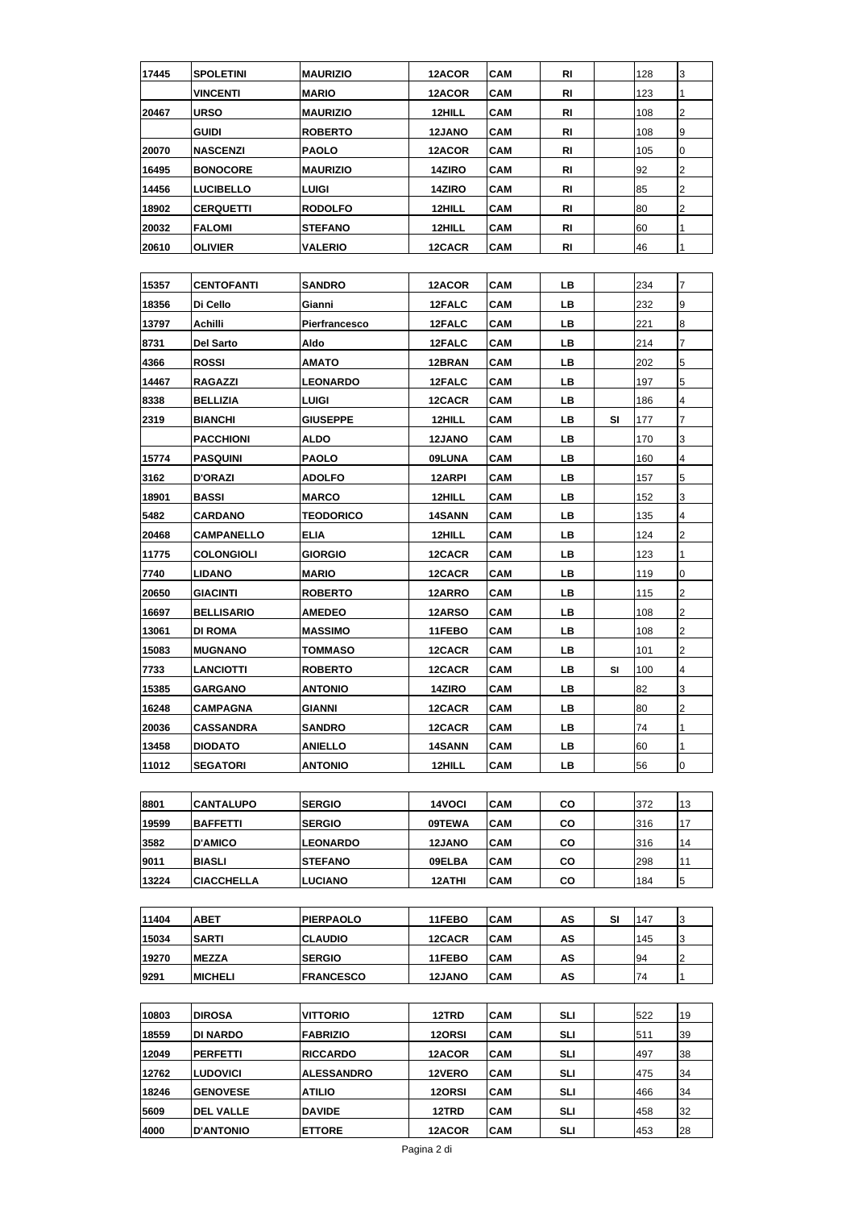| 17445 | SPOLETINI         | <b>MAURIZIO</b>   | 12ACOR        | CAM        | RI        |    | 128 | 3              |
|-------|-------------------|-------------------|---------------|------------|-----------|----|-----|----------------|
|       | <b>VINCENTI</b>   | <b>MARIO</b>      | 12ACOR        | CAM        | <b>RI</b> |    | 123 | $\mathbf{1}$   |
| 20467 | <b>URSO</b>       | <b>MAURIZIO</b>   | 12HILL        | <b>CAM</b> | RI        |    | 108 | $\overline{2}$ |
|       | GUIDI             | <b>ROBERTO</b>    | 12JANO        | CAM        | RI        |    | 108 | 9              |
| 20070 | <b>NASCENZI</b>   | <b>PAOLO</b>      | 12ACOR        | CAM        | RI        |    | 105 | $\overline{0}$ |
| 16495 | <b>BONOCORE</b>   | <b>MAURIZIO</b>   | 14ZIRO        | <b>CAM</b> | RI        |    | 92  | 2              |
| 14456 | LUCIBELLO         | LUIGI             | 14ZIRO        | <b>CAM</b> | RI        |    | 85  | $\overline{2}$ |
| 18902 | <b>CERQUETTI</b>  | <b>RODOLFO</b>    | 12HILL        | CAM        | RI        |    | 80  | 2              |
| 20032 | <b>FALOMI</b>     | <b>STEFANO</b>    | 12HILL        | <b>CAM</b> | RI        |    | 60  | 1              |
| 20610 | OLIVIER           | <b>VALERIO</b>    | 12CACR        | CAM        | RI        |    | 46  | 1              |
|       |                   |                   |               |            |           |    |     |                |
| 15357 | <b>CENTOFANTI</b> | <b>SANDRO</b>     | 12ACOR        | <b>CAM</b> | LВ        |    | 234 | 7              |
| 18356 | Di Cello          | Gianni            | 12FALC        | CAM        | LВ        |    | 232 | 9              |
| 13797 | Achilli           | Pierfrancesco     | 12FALC        | CAM        | LВ        |    | 221 | 8              |
| 8731  | <b>Del Sarto</b>  | Aldo              | 12FALC        | CAM        | LВ        |    | 214 | 7              |
| 4366  | <b>ROSSI</b>      | <b>AMATO</b>      | 12BRAN        | <b>CAM</b> | LВ        |    | 202 | 5              |
| 14467 | RAGAZZI           | <b>LEONARDO</b>   | 12FALC        | <b>CAM</b> | LВ        |    | 197 | 5              |
| 8338  | BELLIZIA          | LUIGI             | 12CACR        | <b>CAM</b> | LВ        |    | 186 | 4              |
| 2319  | <b>BIANCHI</b>    | GIUSEPPE          | 12HILL        | CAM        | LВ        | SI | 177 | 7              |
|       | <b>PACCHIONI</b>  | <b>ALDO</b>       | 12JANO        | <b>CAM</b> | LВ        |    | 170 | 3              |
| 15774 | <b>PASQUINI</b>   | <b>PAOLO</b>      | 09LUNA        | <b>CAM</b> | LВ        |    | 160 | 4              |
| 3162  | <b>D'ORAZI</b>    | <b>ADOLFO</b>     | 12ARPI        | <b>CAM</b> | LВ        |    | 157 | 5              |
| 18901 | <b>BASSI</b>      | <b>MARCO</b>      | 12HILL        | CAM        | LВ        |    | 152 | 3              |
| 5482  | <b>CARDANO</b>    | <b>TEODORICO</b>  | 14SANN        | <b>CAM</b> | LВ        |    | 135 | 4              |
| 20468 | <b>CAMPANELLO</b> | <b>ELIA</b>       | 12HILL        | <b>CAM</b> | LВ        |    | 124 | $\overline{2}$ |
| 11775 | <b>COLONGIOLI</b> | GIORGIO           | 12CACR        | <b>CAM</b> | LВ        |    | 123 | 1              |
| 7740  | <b>LIDANO</b>     | <b>MARIO</b>      | 12CACR        | CAM        | LВ        |    | 119 | 0              |
| 20650 | <b>GIACINTI</b>   | <b>ROBERTO</b>    | 12ARRO        | <b>CAM</b> | LВ        |    | 115 | $\overline{2}$ |
| 16697 | <b>BELLISARIO</b> | <b>AMEDEO</b>     | 12ARSO        | <b>CAM</b> | LВ        |    | 108 | $\overline{2}$ |
| 13061 | <b>DI ROMA</b>    | <b>MASSIMO</b>    | 11FEBO        | <b>CAM</b> | LВ        |    | 108 | 2              |
| 15083 | <b>MUGNANO</b>    | TOMMASO           | 12CACR        | CAM        | LВ        |    | 101 | $\overline{2}$ |
| 7733  | <b>LANCIOTTI</b>  | <b>ROBERTO</b>    | 12CACR        | CAM        | LВ        | SI | 100 | 4              |
| 15385 | <b>GARGANO</b>    | <b>ANTONIO</b>    | 14ZIRO        | CAM        | LВ        |    | 82  | 3              |
| 16248 | <b>CAMPAGNA</b>   | GIANNI            | 12CACR        | CAM        | LB.       |    | 80  | $\overline{2}$ |
| 20036 | CASSANDRA         | <b>SANDRO</b>     | 12CACR        | CAM        | LВ        |    | 74  | 1              |
| 13458 | DIODATO           | <b>ANIELLO</b>    | 14SANN        | CAM        | LВ        |    | 60  | 1              |
| 11012 | <b>SEGATORI</b>   | <b>ANTONIO</b>    | 12HILL        | CAM        | LВ        |    | 56  | 0              |
|       |                   |                   |               |            |           |    |     |                |
| 8801  | CANTALUPO         | <b>SERGIO</b>     | 14VOCI        | CAM        | CO        |    | 372 | 13             |
| 19599 | <b>BAFFETTI</b>   | <b>SERGIO</b>     | 09TEWA        | CAM        | CO        |    | 316 | 17             |
| 3582  | <b>D'AMICO</b>    | <b>LEONARDO</b>   | 12JANO        | <b>CAM</b> | CO        |    | 316 | 14             |
| 9011  | <b>BIASLI</b>     | <b>STEFANO</b>    | 09ELBA        | CAM        | CO        |    | 298 | 11             |
| 13224 | CIACCHELLA        | LUCIANO           | 12ATHI        | CAM        | CO        |    | 184 | 5              |
|       |                   |                   |               |            |           |    |     |                |
| 11404 | <b>ABET</b>       | <b>PIERPAOLO</b>  | 11FEBO        | CAM        | AS        | SI | 147 | 3              |
| 15034 | SARTI             | <b>CLAUDIO</b>    | 12CACR        | CAM        | AS        |    | 145 | 3              |
| 19270 | <b>MEZZA</b>      | <b>SERGIO</b>     | 11FEBO        | CAM        | AS        |    | 94  | 2              |
| 9291  | <b>MICHELI</b>    | <b>FRANCESCO</b>  | <b>12JANO</b> | <b>CAM</b> | AS        |    | 74  | 1              |
|       |                   |                   |               |            |           |    |     |                |
| 10803 | <b>DIROSA</b>     | VITTORIO          | 12TRD         | CAM        | SLI       |    | 522 | 19             |
| 18559 | DI NARDO          | <b>FABRIZIO</b>   | 120RSI        | CAM        | SLI       |    | 511 | 39             |
| 12049 | PERFETTI          | <b>RICCARDO</b>   | 12ACOR        | <b>CAM</b> | SLI       |    | 497 | 38             |
| 12762 | <b>LUDOVICI</b>   | <b>ALESSANDRO</b> | 12VERO        | CAM        | SLI       |    | 475 | 34             |
| 18246 | <b>GENOVESE</b>   | ATILIO            | 12ORSI        | CAM        | SLI       |    | 466 | 34             |
| 5609  | <b>DEL VALLE</b>  | <b>DAVIDE</b>     | 12TRD         | CAM        | SLI       |    | 458 | 32             |
| 4000  | <b>D'ANTONIO</b>  | <b>ETTORE</b>     | 12ACOR        | CAM        | SLI       |    | 453 | 28             |
|       |                   |                   |               |            |           |    |     |                |